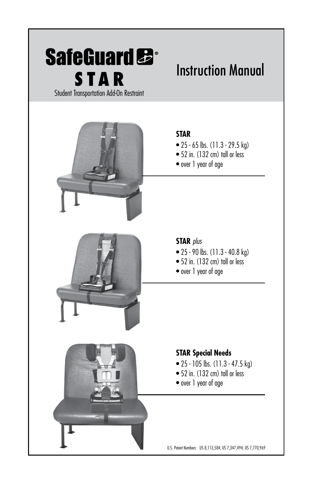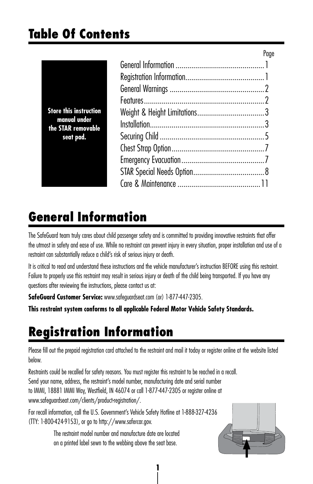Page

| <b>Store this instruction</b><br>manual under<br>the STAR removable<br>seat pad. |  |
|----------------------------------------------------------------------------------|--|
|                                                                                  |  |
|                                                                                  |  |
|                                                                                  |  |
|                                                                                  |  |
|                                                                                  |  |
|                                                                                  |  |
|                                                                                  |  |
|                                                                                  |  |
|                                                                                  |  |
|                                                                                  |  |
|                                                                                  |  |

### **General Information**

The SafeGuard team truly cares about child passenger safety and is committed to providing innovative restraints that offer the utmost in safety and ease of use. While no restraint can prevent injury in every situation, proper installation and use of a restraint can substantially reduce a child's risk of serious injury or death.

It is critical to read and understand these instructions and the vehicle manufacturer's instruction BEFORE using this restraint. Failure to properly use this restraint may result in serious injury or death of the child being transported. If you have any questions after reviewing the instructions, please contact us at:

**SafeGuard Customer Service:** www.safeguardseat.com (or) 1-877-447-2305.

**This restraint system conforms to all applicable Federal Motor Vehicle Safety Standards.**

# **Registration Information**

Please fill out the prepaid registration card attached to the restraint and mail it today or register online at the website listed below.

Restraints could be recalled for safety reasons. You must register this restraint to be reached in a recall. Send your name, address, the restraint's model number, manufacturing date and serial number to IMMI, 18881 IMMI Way, Westfield, IN 46074 or call 1-877-447-2305 or register online at www.safeguardseat.com/clients/product-registration/.

For recall information, call the U.S. Government's Vehicle Safety Hotline at 1-888-327-4236 (TTY: 1-800-424-9153), or go to http://www.safercar.gov.

> The restraint model number and manufacture date are located on a printed label sewn to the webbing above the seat base.

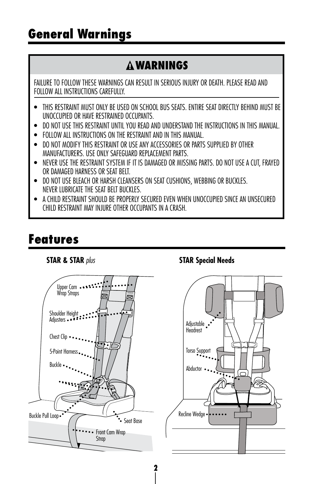## **General Warnings**

### **WARNINGS**

FAILURE TO FOLLOW THESE WARNINGS CAN RESULT IN SERIOUS INJURY OR DEATH. PLEASE READ AND FOLLOW ALL INSTRUCTIONS CAREFULLY.

- THIS RESTRAINT MUST ONLY BE USED ON SCHOOL BUS SEATS. ENTIRE SEAT DIRECTLY BEHIND MUST BE UNOCCUPIED OR HAVE RESTRAINED OCCUPANTS.
- DO NOT USE THIS RESTRAINT UNTIL YOU READ AND UNDERSTAND THE INSTRUCTIONS IN THIS MANUAL.
- FOLLOW ALL INSTRUCTIONS ON THE RESTRAINT AND IN THIS MANUAL.
- DO NOT MODIFY THIS RESTRAINT OR USE ANY ACCESSORIES OR PARTS SUPPLIED BY OTHER MANUFACTURERS. USE ONLY SAFEGUARD REPLACEMENT PARTS.
- NEVER USE THE RESTRAINT SYSTEM IF IT IS DAMAGED OR MISSING PARTS. DO NOT USE A CUT, FRAYED OR DAMAGED HARNESS OR SEAT BELT.
- DO NOT USE BLEACH OR HARSH CLEANSERS ON SEAT CUSHIONS, WEBBING OR BUCKLES. NEVER LUBRICATE THE SEAT BELT BUCKLES.
- A CHILD RESTRAINT SHOULD BE PROPERLY SECURED EVEN WHEN UNOCCUPIED SINCE AN UNSECURED CHILD RESTRAINT MAY INJURE OTHER OCCUPANTS IN A CRASH.

## **Features**

#### **STAR & STAR** *plus*



#### **STAR Special Needs**

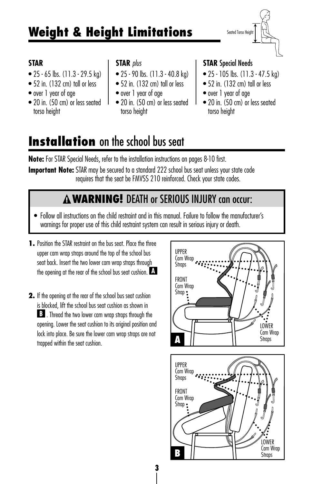# **Weight & Height Limitations**

Seated Torso Height

#### **STAR**

- 25 65 lbs. (11.3 29.5 kg)
- 52 in. (132 cm) tall or less
- over 1 year of age
- 20 in. (50 cm) or less seated torso height

#### **STAR** *plus*

- 25 90 lbs. (11.3 40.8 kg)
- 52 in. (132 cm) tall or less
- over 1 year of age
- 20 in. (50 cm) or less seated torso height

#### **STAR** Special Needs

- 25 105 lbs. (11.3 47.5 kg)
- 52 in. (132 cm) tall or less
- over 1 year of age
- 20 in. (50 cm) or less seated torso height

## **Installation** on the school bus seat

**Note:** For STAR Special Needs, refer to the installation instructions on pages 8-10 first.

**Important Note:** STAR may be secured to a standard 222 school bus seat unless your state code requires that the seat be FMVSS 210 reinforced. Check your state codes.

### **WARNING!** DEATH or SERIOUS INJURY can occur:

**3**

- Follow all instructions on the child restraint and in this manual. Failure to follow the manufacturer's warnings for proper use of this child restraint system can result in serious injury or death.
- **1.** Position the STAR restraint on the bus seat. Place the three upper cam wrap straps around the top of the school bus seat back. Insert the two lower cam wrap straps through the opening at the rear of the school bus seat cushion. **A**
- **2.** If the opening at the rear of the school bus seat cushion is blocked, lift the school bus seat cushion as shown in **B** . Thread the two lower cam wrap straps through the opening. Lower the seat cushion to its original position and lock into place. Be sure the lower cam wrap straps are not trapped within the seat cushion.



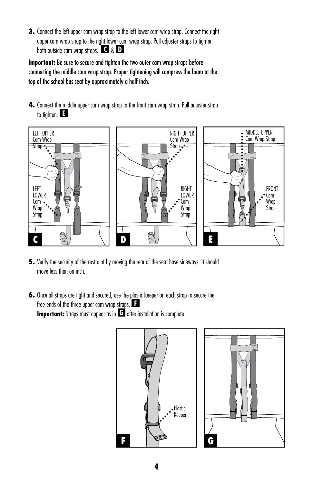**3.** Connect the left upper cam wrap strap to the left lower cam wrap strap. Connect the right upper cam wrap strap to the right lower cam wrap strap. Pull adjuster straps to tighten both outside cam wrap straps. **C** & **D**

**Important:** Be sure to secure and tighten the two outer cam wrap straps before connecting the middle cam wrap strap. Proper tightening will compress the foam at the top of the school bus seat by approximately a half inch.

**4.** Connect the middle upper cam wrap strap to the front cam wrap strap. Pull adjuster strap to tighten. **E**



- **5.** Verify the security of the restraint by moving the rear of the seat base sideways. It should move less than on inch.
- **6.** Once all straps are tight and secured, use the plastic keeper on each strap to secure the free ends of the three upper cam wrap straps. **F Important:** Straps must appear as in **G** after installation is complete.

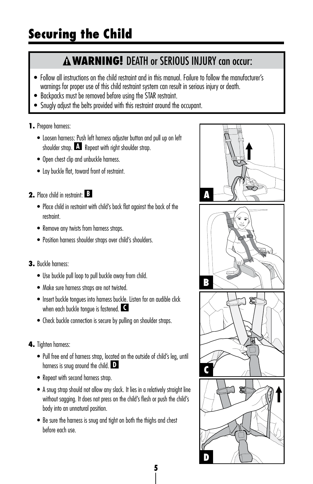### **WARNING!** DEATH or SERIOUS INJURY can occur:

- Follow all instructions on the child restraint and in this manual. Failure to follow the manufacturer's warnings for proper use of this child restraint system can result in serious injury or death.
- Backpacks must be removed before using the STAR restraint.
- Snugly adjust the belts provided with this restraint around the occupant.

#### **1.** Prepare harness:

- Loosen harness: Push left harness adjuster button and pull up on left shoulder strap. **A** Repeat with right shoulder strap.
- Open chest clip and unbuckle harness.
- Lay buckle flat, toward front of restraint.
- **2.** Place child in restraint: **B**
	- Place child in restraint with child's back flat against the back of the restraint.
	- Remove any twists from harness straps.
	- Position harness shoulder straps over child's shoulders.
- **3.** Buckle harness:
	- Use buckle pull loop to pull buckle away from child.
	- Make sure harness straps are not twisted.
	- Insert buckle tongues into harness buckle. Listen for an audible click when each buckle tongue is fastened. **C**
	- Check buckle connection is secure by pulling on shoulder straps.
- **4.** Tighten harness:
	- Pull free end of harness strap, located on the outside of child's leg, until harness is snug around the child. **D**
	- Repeat with second harness strap.
	- A snug strap should not allow any slack. It lies in a relatively straight line without sagging. It does not press on the child's flesh or push the child's body into an unnatural position.
	- Be sure the harness is snug and tight on both the thighs and chest before each use.

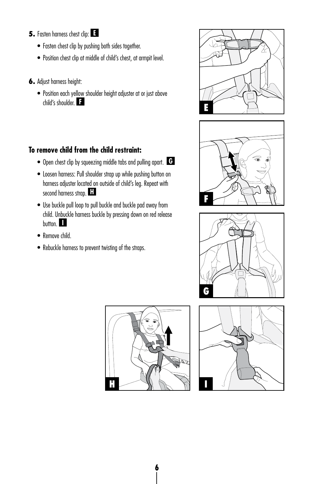- **5.** Fasten harness chest clip: **E**
	- Fasten chest clip by pushing both sides together.
	- Position chest clip at middle of child's chest, at armpit level.
- **6.** Adjust harness height:
	- Position each yellow shoulder height adjuster at or just above child's shoulder. **F**

#### **To remove child from the child restraint:**

- Open chest clip by squeezing middle tabs and pulling apart. **G**
- Loosen harness: Pull shoulder strap up while pushing button on harness adjuster located on outside of child's leg. Repeat with second harness strap. **H**
- Use buckle pull loop to pull buckle and buckle pad away from child. Unbuckle harness buckle by pressing down on red release button. **I**
- Remove child.
- Rebuckle harness to prevent twisting of the straps.









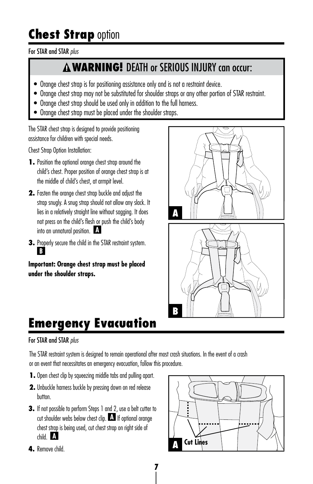# **Chest Strap option**

#### For STAR and STAR *plus*

### **WARNING!** DEATH or SERIOUS INJURY can occur:

- Orange chest strap is for positioning assistance only and is not a restraint device.
- Orange chest strap may not be substituted for shoulder straps or any other portion of STAR restraint.
- Orange chest strap should be used only in addition to the full harness.
- Orange chest strap must be placed under the shoulder straps.

The STAR chest strap is designed to provide positioning assistance for children with special needs.

Chest Strap Option Installation:

- **1.** Position the optional orange chest strap around the child's chest. Proper position of orange chest strap is at the middle of child's chest, at armpit level.
- **2.** Fasten the orange chest strap buckle and adjust the strap snugly. A snug strap should not allow any slack. It lies in a relatively straight line without sagging. It does not press on the child's flesh or push the child's body into an unnatural position. **A**
- **3.** Properly secure the child in the STAR restraint system. **B**

**Important: Orange chest strap must be placed under the shoulder straps.** 



# **Emergency Evacuation**

#### For STAR and STAR *plus*

The STAR restraint system is designed to remain operational after most crash situations. In the event of a crash or an event that necessitates an emergency evacuation, follow this procedure.

- **1.** Open chest clip by squeezing middle tabs and pulling apart.
- **2.** Unbuckle harness buckle by pressing down on red release button.
- **3.** If not possible to perform Steps 1 and 2, use a belt cutter to cut shoulder webs below chest clip. **A** If optional orange chest strap is being used, cut chest strap on right side of child. **A**



**4.** Remove child.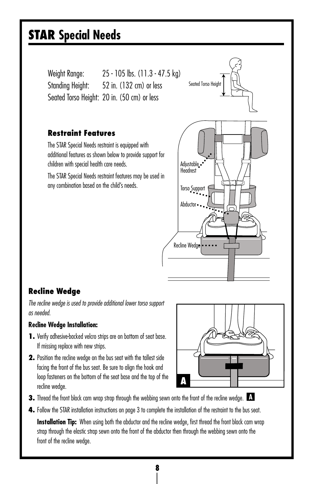## **STAR Special Needs**

Weight Range: 25 - 105 lbs. (11.3 - 47.5 kg) Standing Height: 52 in. (132 cm) or less Seated Torso Height: 20 in. (50 cm) or less

#### **Restraint Features**

The STAR Special Needs restraint is equipped with additional features as shown below to provide support for children with special health care needs.

The STAR Special Needs restraint features may be used in any combination based on the child's needs.



#### **Recline Wedge**

*The recline wedge is used to provide additional lower torso support as needed.*

#### **Recline Wedge Installation:**

- **1.** Verify adhesive-backed velcro strips are on bottom of seat base. If missing replace with new strips.
- **2.** Position the recline wedge on the bus seat with the tallest side facing the front of the bus seat. Be sure to align the hook and loop fasteners on the bottom of the seat base and the top of the recline wedge.



- **3.** Thread the front black cam wrap strap through the webbing sewn onto the front of the recline wedge. **A**
- **4.** Follow the STAR installation instructions on page 3 to complete the installation of the restraint to the bus seat.

**Installation Tip:** When using both the abductor and the recline wedge, first thread the front black cam wrap strap through the elastic strap sewn onto the front of the abductor then through the webbing sewn onto the front of the recline wedge.

**8**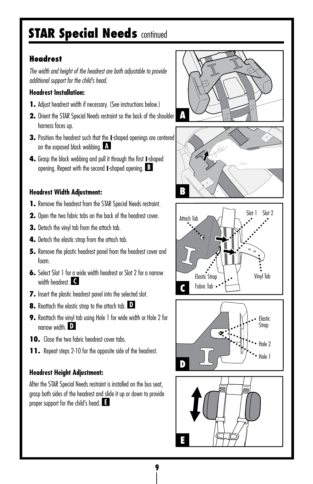## **STAR Special Needs continued**

#### **Headrest**

*The width and height of the headrest are both adjustable to provide additional support for the child's head.*

#### **Headrest Installation:**

- **1.** Adjust headrest width if necessary. (See instructions below.)
- **2.** Orient the STAR Special Needs restraint so the back of the shoulder harness faces up.
- **3.** Position the headrest such that the **I**-shaped openings are centered on the exposed black webbing. **A**
- **4.** Grasp the black webbing and pull it through the first **I**-shaped opening. Repeat with the second **I**-shaped opening. **B**

#### **Headrest Width Adjustment:**

- **1.** Remove the headrest from the STAR Special Needs restraint.
- **2.** Open the two fabric tabs on the back of the headrest cover.
- **3.** Detach the vinyl tab from the attach tab.
- **4.** Detach the elastic strap from the attach tab.
- **5.** Remove the plastic headrest panel from the headrest cover and foam.
- **6.** Select Slot 1 for a wide width headrest or Slot 2 for a narrow width headrest. **C**
- **7.** Insert the plastic headrest panel into the selected slot.
- **8.** Reattach the elastic strap to the attach tab. **D**
- **9.** Reattach the vinyl tab using Hole 1 for wide width or Hole 2 for narrow width. **D**
- **10.** Close the two fabric headrest cover tabs.
- **11.** Repeat steps 2-10 for the opposite side of the headrest.

#### **Headrest Height Adjustment:**

After the STAR Special Needs restraint is installed on the bus seat, grasp both sides of the headrest and slide it up or down to provide proper support for the child's head. **E**









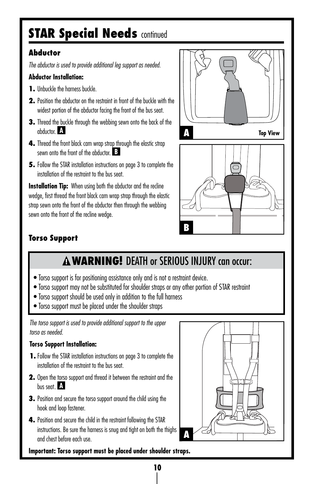## **STAR Special Needs continued**

#### **Abductor**

*The abductor is used to provide additional leg support as needed.*

#### **Abductor Installation:**

- **1.** Unbuckle the harness buckle.
- **2.** Position the abductor on the restraint in front of the buckle with the widest portion of the abductor facing the front of the bus seat.
- **3.** Thread the buckle through the webbing sewn onto the back of the abductor. **A**
- **4.** Thread the front black cam wrap strap through the elastic strap sewn onto the front of the abductor. **B**
- **5.** Follow the STAR installation instructions on page 3 to complete the installation of the restraint to the bus seat.

**Installation Tip:** When using both the abductor and the recline wedge, first thread the front black cam wrap strap through the elastic strap sewn onto the front of the abductor then through the webbing sewn onto the front of the recline wedge.





#### **Torso Support**

### **A WARNING!** DEATH or SERIOUS INJURY can occur:

- Torso support is for positioning assistance only and is not a restraint device.
- Torso support may not be substituted for shoulder straps or any other portion of STAR restraint
- Torso support should be used only in addition to the full harness
- Torso support must be placed under the shoulder straps

*The torso support is used to provide additional support to the upper torso as needed.*

#### **Torso Support Installation:**

- **1.** Follow the STAR installation instructions on page 3 to complete the installation of the restraint to the bus seat.
- **2.** Open the torso support and thread it between the restraint and the bus seat. **A**
- **3.** Position and secure the torso support around the child using the hook and loop fastener.
- **4.** Position and secure the child in the restraint following the STAR instructions. Be sure the harness is snug and tight on both the thighs and chest before each use.



**Important: Torso support must be placed under shoulder straps.**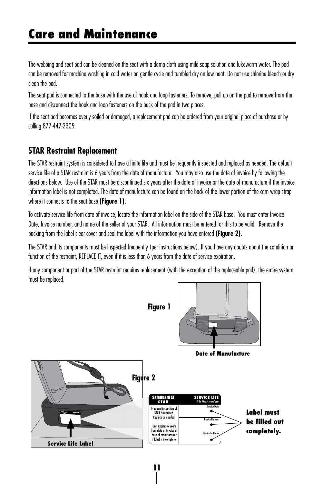## **Care and Maintenance**

The webbing and seat pad can be cleaned on the seat with a damp cloth using mild soap solution and lukewarm water. The pad can be removed for machine washing in cold water on gentle cycle and tumbled dry on low heat. Do not use chlorine bleach or dry clean the pad.

The seat pad is connected to the base with the use of hook and loop fasteners. To remove, pull up on the pad to remove from the base and disconnect the hook and loop fasteners on the back of the pad in two places.

If the seat pad becomes overly soiled or damaged, a replacement pad can be ordered from your original place of purchase or by calling 877-447-2305.

#### **STAR Restraint Replacement**

The STAR restraint system is considered to have a finite life and must be frequently inspected and replaced as needed. The default service life of a STAR restraint is 6 years from the date of manufacture. You may also use the date of invoice by following the directions below. Use of the STAR must be discontinued six years after the date of invoice or the date of manufacture if the invoice information label is not completed. The date of manufacture can be found on the back of the lower portion of the cam wrap strap where it connects to the seat base **(Figure 1)**.

To activate service life from date of invoice, locate the information label on the side of the STAR base. You must enter Invoice Date, Invoice number, and name of the seller of your STAR. All information must be entered for this to be valid. Remove the backing from the label clear cover and seal the label with the information you have entered **(Figure 2)**.

The STAR and its components must be inspected frequently (per instructions below). If you have any doubts about the condition or function of the restraint, REPLACE IT, even if it is less than 6 years from the date of service expiration.

If any component or part of the STAR restraint requires replacement (with the exception of the replaceable pad), the entire system must be replaced.

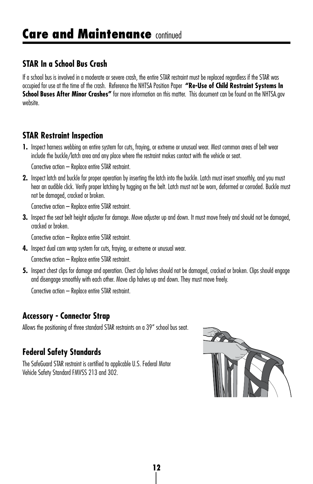#### **STAR In a School Bus Crash**

If a school bus is involved in a moderate or severe crash, the entire STAR restraint must be replaced regardless if the STAR was occupied for use at the time of the crash. Reference the NHTSA Position Paper **"Re-Use of Child Restraint Systems In School Buses After Minor Crashes"** for more information on this matter. This document can be found on the NHTSA.gov website.

#### **STAR Restraint Inspection**

**1.** Inspect harness webbing on entire system for cuts, fraying, or extreme or unusual wear. Most common areas of belt wear include the buckle/latch area and any place where the restraint makes contact with the vehicle or seat.

Corrective action – Replace entire STAR restraint.

**2.** Inspect latch and buckle for proper operation by inserting the latch into the buckle. Latch must insert smoothly, and you must hear an audible click. Verify proper latching by tugging on the belt. Latch must not be worn, deformed or corroded. Buckle must not be damaged, cracked or broken.

Corrective action – Replace entire STAR restraint.

**3.** Inspect the seat belt height adjuster for damage. Move adjuster up and down. It must move freely and should not be damaged, cracked or broken.

Corrective action – Replace entire STAR restraint.

**4.** Inspect dual cam wrap system for cuts, fraying, or extreme or unusual wear.

Corrective action – Replace entire STAR restraint.

**5.** Inspect chest clips for damage and operation. Chest clip halves should not be damaged, cracked or broken. Clips should engage and disengage smoothly with each other. Move clip halves up and down. They must move freely.

Corrective action – Replace entire STAR restraint.

#### **Accessory - Connector Strap**

Allows the positioning of three standard STAR restraints on a 39" school bus seat.

#### **Federal Safety Standards**

The SafeGuard STAR restraint is certified to applicable U.S. Federal Motor Vehicle Safety Standard FMVSS 213 and 302.